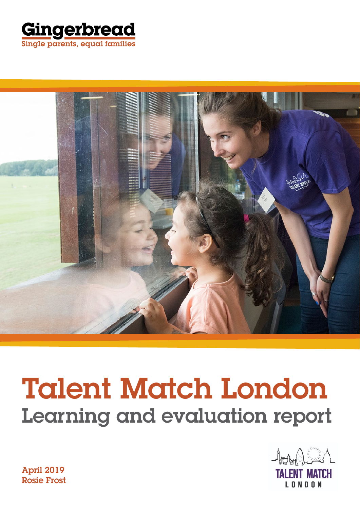



# Talent Match London Learning and evaluation report



April 2019 Rosie Frost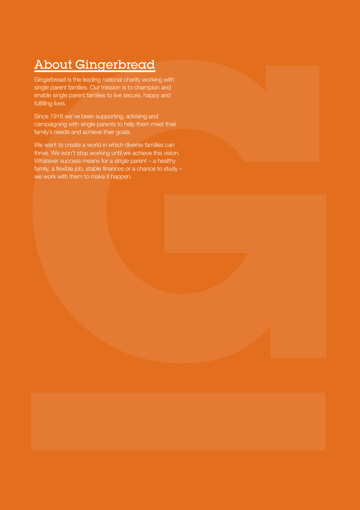## About Gingerbread

Gingerbread is the leading national charity working with single parent families. Our mission is to champion and enable single parent families to live secure, happy and fulfilling lives.

Since 1918 we've been supporting, advising and campaigning with single parents to help them meet their family's needs and achieve their goals.

We want to create a world in which diverse families can thrive. We won't stop working until we achieve this vision. Whatever success means for a single parent – a healthy family, a flexible job, stable finances or a chance to study – we work with them to make it happen.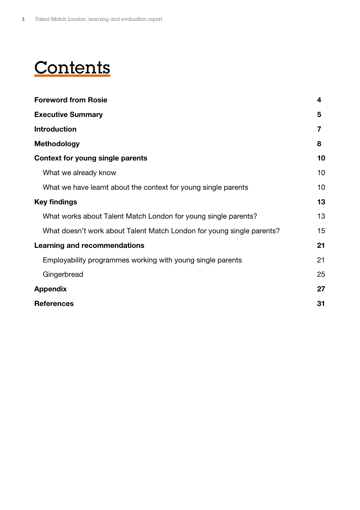## **Contents**

| <b>Foreword from Rosie</b>                                            | 4  |
|-----------------------------------------------------------------------|----|
| <b>Executive Summary</b>                                              | 5  |
| <b>Introduction</b>                                                   | 7  |
| <b>Methodology</b>                                                    | 8  |
| Context for young single parents                                      | 10 |
| What we already know                                                  | 10 |
| What we have learnt about the context for young single parents        | 10 |
| <b>Key findings</b>                                                   | 13 |
| What works about Talent Match London for young single parents?        | 13 |
| What doesn't work about Talent Match London for young single parents? | 15 |
| <b>Learning and recommendations</b>                                   | 21 |
| Employability programmes working with young single parents            | 21 |
| Gingerbread                                                           | 25 |
| <b>Appendix</b>                                                       | 27 |
| <b>References</b>                                                     | 31 |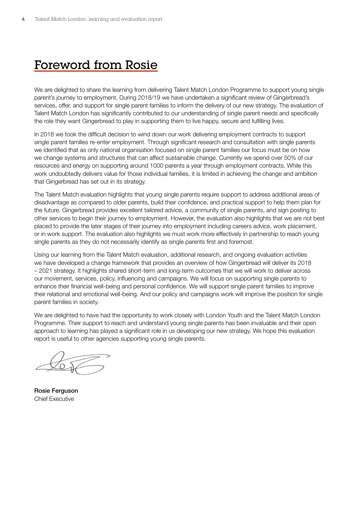## Foreword from Rosie

We are delighted to share the learning from delivering Talent Match London Programme to support young single parent's journey to employment. During 2018/19 we have undertaken a significant review of Gingerbread's services, offer, and support for single parent families to inform the delivery of our new strategy. The evaluation of Talent Match London has significantly contributed to our understanding of single parent needs and specifically the role they want Gingerbread to play in supporting them to live happy, secure and fulfilling lives.

In 2018 we took the difficult decision to wind down our work delivering employment contracts to support single parent families re-enter employment. Through significant research and consultation with single parents we identified that as only national organisation focused on single parent families our focus must be on how we change systems and structures that can affect sustainable change. Currently we spend over 50% of our resources and energy on supporting around 1000 parents a year through employment contracts. While this work undoubtedly delivers value for those individual families, it is limited in achieving the change and ambition that Gingerbread has set out in its strategy.

The Talent Match evaluation highlights that young single parents require support to address additional areas of disadvantage as compared to older parents, build their confidence, and practical support to help them plan for the future. Gingerbread provides excellent tailored advice, a community of single parents, and sign posting to other services to begin their journey to employment. However, the evaluation also highlights that we are not best placed to provide the later stages of their journey into employment including careers advice, work placement, or in work support. The evaluation also highlights we must work more effectively in partnership to reach young single parents as they do not necessarily identify as single parents first and foremost.

Using our learning from the Talent Match evaluation, additional research, and ongoing evaluation activities we have developed a change framework that provides an overview of how Gingerbread will deliver its 2018 – 2021 strategy. It highlights shared short-term and long-term outcomes that we will work to deliver across our movement, services, policy, influencing and campaigns. We will focus on supporting single parents to enhance their financial well-being and personal confidence. We will support single parent families to improve their relational and emotional well-being. And our policy and campaigns work will improve the position for single parent families in society.

We are delighted to have had the opportunity to work closely with London Youth and the Talent Match London Programme. Their support to reach and understand young single parents has been invaluable and their open approach to learning has played a significant role in us developing our new strategy. We hope this evaluation report is useful to other agencies supporting young single parents.

Rosie Ferguson Chief Executive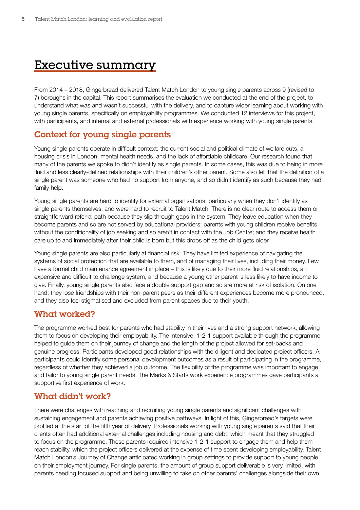## <span id="page-4-0"></span>Executive summary

From 2014 – 2018, Gingerbread delivered Talent Match London to young single parents across 9 (revised to 7) boroughs in the capital. This report summarises the evaluation we conducted at the end of the project, to understand what was and wasn't successful with the delivery, and to capture wider learning about working with young single parents, specifically on employability programmes. We conducted 12 interviews for this project, with participants, and internal and external professionals with experience working with young single parents.

## Context for young single parents

Young single parents operate in difficult context; the current social and political climate of welfare cuts, a housing crisis in London, mental health needs, and the lack of affordable childcare. Our research found that many of the parents we spoke to didn't identify as single parents. In some cases, this was due to being in more fluid and less clearly-defined relationships with their children's other parent. Some also felt that the definition of a single parent was someone who had no support from anyone, and so didn't identify as such because they had family help.

Young single parents are hard to identify for external organisations, particularly when they don't identify as single parents themselves, and were hard to recruit to Talent Match. There is no clear route to access them or straightforward referral path because they slip through gaps in the system. They leave education when they become parents and so are not served by educational providers; parents with young children receive benefits without the conditionality of job seeking and so aren't in contact with the Job Centre; and they receive health care up to and immediately after their child is born but this drops off as the child gets older.

Young single parents are also particularly at financial risk. They have limited experience of navigating the systems of social protection that are available to them, and of managing their lives, including their money. Few have a formal child maintenance agreement in place – this is likely due to their more fluid relationships, an expensive and difficult to challenge system, and because a young other parent is less likely to have income to give. Finally, young single parents also face a double support gap and so are more at risk of isolation. On one hand, they lose friendships with their non-parent peers as their different experiences become more pronounced, and they also feel stigmatised and excluded from parent spaces due to their youth.

### What worked?

The programme worked best for parents who had stability in their lives and a strong support network, allowing them to focus on developing their employability. The intensive, 1-2-1 support available through the programme helped to guide them on their journey of change and the length of the project allowed for set-backs and genuine progress. Participants developed good relationships with the diligent and dedicated project officers. All participants could identify some personal development outcomes as a result of participating in the programme, regardless of whether they achieved a job outcome. The flexibility of the programme was important to engage and tailor to young single parent needs. The Marks & Starts work experience programmes gave participants a supportive first experience of work.

## What didn't work?

There were challenges with reaching and recruiting young single parents and significant challenges with sustaining engagement and parents achieving positive pathways. In light of this, Gingerbread's targets were profiled at the start of the fifth year of delivery. Professionals working with young single parents said that their clients often had additional external challenges including housing and debt, which meant that they struggled to focus on the programme. These parents required intensive 1-2-1 support to engage them and help them reach stability, which the project officers delivered at the expense of time spent developing employability. Talent Match London's Journey of Change anticipated working in group settings to provide support to young people on their employment journey. For single parents, the amount of group support deliverable is very limited, with parents needing focused support and being unwilling to take on other parents' challenges alongside their own.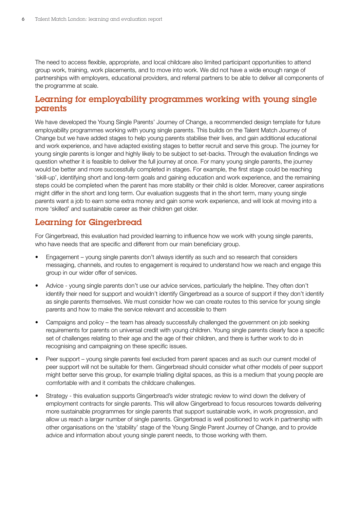The need to access flexible, appropriate, and local childcare also limited participant opportunities to attend group work, training, work placements, and to move into work. We did not have a wide enough range of partnerships with employers, educational providers, and referral partners to be able to deliver all components of the programme at scale.

## Learning for employability programmes working with young single parents

We have developed the Young Single Parents' Journey of Change, a recommended design template for future employability programmes working with young single parents. This builds on the Talent Match Journey of Change but we have added stages to help young parents stabilise their lives, and gain additional educational and work experience, and have adapted existing stages to better recruit and serve this group. The journey for young single parents is longer and highly likely to be subject to set-backs. Through the evaluation findings we question whether it is feasible to deliver the full journey at once. For many young single parents, the journey would be better and more successfully completed in stages. For example, the first stage could be reaching 'skill-up', identifying short and long-term goals and gaining education and work experience, and the remaining steps could be completed when the parent has more stability or their child is older. Moreover, career aspirations might differ in the short and long term. Our evaluation suggests that in the short term, many young single parents want a job to earn some extra money and gain some work experience, and will look at moving into a more 'skilled' and sustainable career as their children get older.

## Learning for Gingerbread

For Gingerbread, this evaluation had provided learning to influence how we work with young single parents, who have needs that are specific and different from our main beneficiary group.

- Engagement young single parents don't always identify as such and so research that considers messaging, channels, and routes to engagement is required to understand how we reach and engage this group in our wider offer of services.
- Advice young single parents don't use our advice services, particularly the helpline. They often don't identify their need for support and wouldn't identify Gingerbread as a source of support if they don't identify as single parents themselves. We must consider how we can create routes to this service for young single parents and how to make the service relevant and accessible to them
- Campaigns and policy the team has already successfully challenged the government on job seeking requirements for parents on universal credit with young children. Young single parents clearly face a specific set of challenges relating to their age and the age of their children, and there is further work to do in recognising and campaigning on these specific issues.
- Peer support young single parents feel excluded from parent spaces and as such our current model of peer support will not be suitable for them. Gingerbread should consider what other models of peer support might better serve this group, for example trialling digital spaces, as this is a medium that young people are comfortable with and it combats the childcare challenges.
- Strategy this evaluation supports Gingerbread's wider strategic review to wind down the delivery of employment contracts for single parents. This will allow Gingerbread to focus resources towards delivering more sustainable programmes for single parents that support sustainable work, in work progression, and allow us reach a larger number of single parents. Gingerbread is well positioned to work in partnership with other organisations on the 'stability' stage of the Young Single Parent Journey of Change, and to provide advice and information about young single parent needs, to those working with them.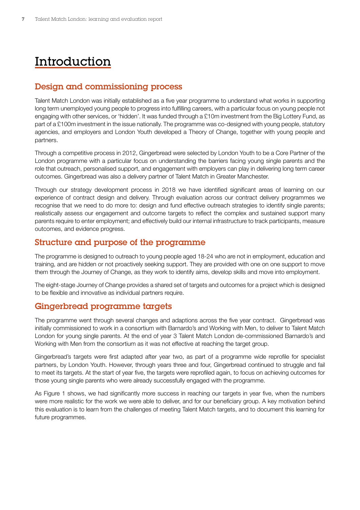## <span id="page-6-0"></span>Introduction

## Design and commissioning process

Talent Match London was initially established as a five year programme to understand what works in supporting long term unemployed young people to progress into fulfilling careers, with a particular focus on young people not engaging with other services, or 'hidden'. It was funded through a £10m investment from the Big Lottery Fund, as part of a £100m investment in the issue nationally. The programme was co-designed with young people, statutory agencies, and employers and London Youth developed a Theory of Change, together with young people and partners.

Through a competitive process in 2012, Gingerbread were selected by London Youth to be a Core Partner of the London programme with a particular focus on understanding the barriers facing young single parents and the role that outreach, personalised support, and engagement with employers can play in delivering long term career outcomes. Gingerbread was also a delivery partner of Talent Match in Greater Manchester.

Through our strategy development process in 2018 we have identified significant areas of learning on our experience of contract design and delivery. Through evaluation across our contract delivery programmes we recognise that we need to do more to: design and fund effective outreach strategies to identify single parents; realistically assess our engagement and outcome targets to reflect the complex and sustained support many parents require to enter employment; and effectively build our internal infrastructure to track participants, measure outcomes, and evidence progress.

## Structure and purpose of the programme

The programme is designed to outreach to young people aged 18-24 who are not in employment, education and training, and are hidden or not proactively seeking support. They are provided with one on one support to move them through the Journey of Change, as they work to identify aims, develop skills and move into employment.

The eight-stage Journey of Change provides a shared set of targets and outcomes for a project which is designed to be flexible and innovative as individual partners require.

### Gingerbread programme targets

The programme went through several changes and adaptions across the five year contract. Gingerbread was initially commissioned to work in a consortium with Barnardo's and Working with Men, to deliver to Talent Match London for young single parents. At the end of year 3 Talent Match London de-commissioned Barnardo's and Working with Men from the consortium as it was not effective at reaching the target group.

Gingerbread's targets were first adapted after year two, as part of a programme wide reprofile for specialist partners, by London Youth. However, through years three and four, Gingerbread continued to struggle and fail to meet its targets. At the start of year five, the targets were reprofiled again, to focus on achieving outcomes for those young single parents who were already successfully engaged with the programme.

As Figure 1 shows, we had significantly more success in reaching our targets in year five, when the numbers were more realistic for the work we were able to deliver, and for our beneficiary group. A key motivation behind this evaluation is to learn from the challenges of meeting Talent Match targets, and to document this learning for future programmes.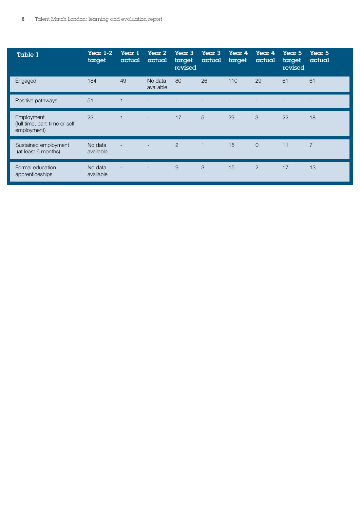| Table 1                                                     | Year $1-2$<br>target | Year 1<br>actual | Year 2<br>actual         | <b>Year 3</b><br>target<br>revised | Year 3<br>actual | Year 4<br>target | Year 4<br>actual | <b>Year 5</b><br>target<br>revised | <b>Year 5</b><br>actual |
|-------------------------------------------------------------|----------------------|------------------|--------------------------|------------------------------------|------------------|------------------|------------------|------------------------------------|-------------------------|
| Engaged                                                     | 184                  | 49               | No data<br>available     | 80                                 | 26               | 110              | 29               | 61                                 | 61                      |
| Positive pathways                                           | 51                   |                  |                          |                                    |                  |                  |                  |                                    |                         |
| Employment<br>(full time, part-time or self-<br>employment) | 23                   | $\overline{1}$   | $\overline{\phantom{0}}$ | 17                                 | 5                | 29               | 3                | 22                                 | 18                      |
| Sustained employment<br>(at least 6 months)                 | No data<br>available |                  |                          | 2                                  | $\mathbf{1}$     | 15               | $\overline{O}$   | 11                                 | $\overline{7}$          |
| Formal education,<br>apprenticeships                        | No data<br>available |                  | $\overline{\phantom{0}}$ | 9                                  | 3                | 15               | $\overline{2}$   | 17                                 | 13                      |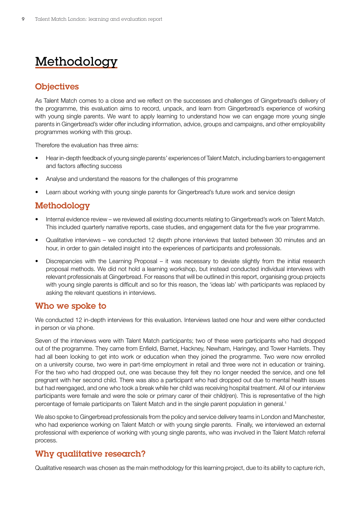## <span id="page-8-0"></span>Methodology

## **Objectives**

As Talent Match comes to a close and we reflect on the successes and challenges of Gingerbread's delivery of the programme, this evaluation aims to record, unpack, and learn from Gingerbread's experience of working with young single parents. We want to apply learning to understand how we can engage more young single parents in Gingerbread's wider offer including information, advice, groups and campaigns, and other employability programmes working with this group.

Therefore the evaluation has three aims:

- Hear in-depth feedback of young single parents' experiences of Talent Match, including barriers to engagement and factors affecting success
- Analyse and understand the reasons for the challenges of this programme
- Learn about working with young single parents for Gingerbread's future work and service design

## Methodology

- Internal evidence review we reviewed all existing documents relating to Gingerbread's work on Talent Match. This included quarterly narrative reports, case studies, and engagement data for the five year programme.
- Qualitative interviews we conducted 12 depth phone interviews that lasted between 30 minutes and an hour, in order to gain detailed insight into the experiences of participants and professionals.
- Discrepancies with the Learning Proposal it was necessary to deviate slightly from the initial research proposal methods. We did not hold a learning workshop, but instead conducted individual interviews with relevant professionals at Gingerbread. For reasons that will be outlined in this report, organising group projects with young single parents is difficult and so for this reason, the 'ideas lab' with participants was replaced by asking the relevant questions in interviews.

### Who we spoke to

We conducted 12 in-depth interviews for this evaluation. Interviews lasted one hour and were either conducted in person or via phone.

Seven of the interviews were with Talent Match participants; two of these were participants who had dropped out of the programme. They came from Enfield, Barnet, Hackney, Newham, Haringey, and Tower Hamlets. They had all been looking to get into work or education when they joined the programme. Two were now enrolled on a university course, two were in part-time employment in retail and three were not in education or training. For the two who had dropped out, one was because they felt they no longer needed the service, and one fell pregnant with her second child. There was also a participant who had dropped out due to mental health issues but had reengaged, and one who took a break while her child was receiving hospital treatment. All of our interview participants were female and were the sole or primary carer of their child(ren). This is representative of the high percentage of female participants on Talent Match and in the single parent population in general.<sup>1</sup>

We also spoke to Gingerbread professionals from the policy and service delivery teams in London and Manchester, who had experience working on Talent Match or with young single parents. Finally, we interviewed an external professional with experience of working with young single parents, who was involved in the Talent Match referral process.

## Why qualitative research?

Qualitative research was chosen as the main methodology for this learning project, due to its ability to capture rich,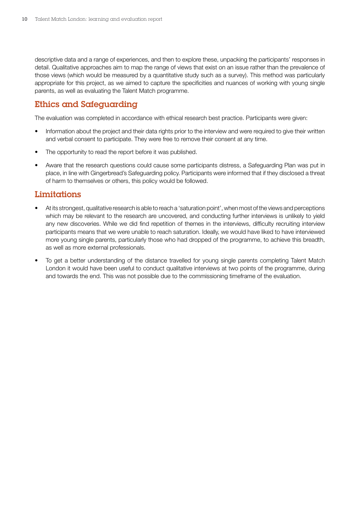descriptive data and a range of experiences, and then to explore these, unpacking the participants' responses in detail. Qualitative approaches aim to map the range of views that exist on an issue rather than the prevalence of those views (which would be measured by a quantitative study such as a survey). This method was particularly appropriate for this project, as we aimed to capture the specificities and nuances of working with young single parents, as well as evaluating the Talent Match programme.

## Ethics and Safeguarding

The evaluation was completed in accordance with ethical research best practice. Participants were given:

- Information about the project and their data rights prior to the interview and were required to give their written and verbal consent to participate. They were free to remove their consent at any time.
- The opportunity to read the report before it was published.
- Aware that the research questions could cause some participants distress, a Safeguarding Plan was put in place, in line with Gingerbread's Safeguarding policy. Participants were informed that if they disclosed a threat of harm to themselves or others, this policy would be followed.

## **Limitations**

- At its strongest, qualitative research is able to reach a 'saturation point', when most of the views and perceptions which may be relevant to the research are uncovered, and conducting further interviews is unlikely to yield any new discoveries. While we did find repetition of themes in the interviews, difficulty recruiting interview participants means that we were unable to reach saturation. Ideally, we would have liked to have interviewed more young single parents, particularly those who had dropped of the programme, to achieve this breadth, as well as more external professionals.
- To get a better understanding of the distance travelled for young single parents completing Talent Match London it would have been useful to conduct qualitative interviews at two points of the programme, during and towards the end. This was not possible due to the commissioning timeframe of the evaluation.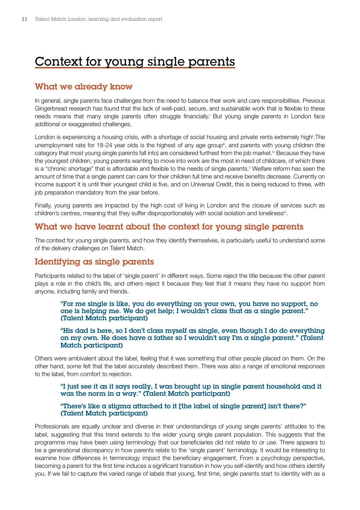## <span id="page-10-0"></span>Context for young single parents

## What we already know

In general, single parents face challenges from the need to balance their work and care responsibilities. Previous Gingerbread research has found that the lack of well-paid, secure, and sustainable work that is flexible to these needs means that many single parents often struggle financially.<sup>†</sup> But young single parents in London face additional or exaggerated challenges.

London is experiencing a housing crisis, with a shortage of social housing and private rents extremely high<sup>i</sup>. The unemployment rate for 18-24 year olds is the highest of any age group<sup>ii</sup>, and parents with young children (the category that most young single parents fall into) are considered furthest from the job market.<sup>iv</sup> Because they have the youngest children, young parents wanting to move into work are the most in need of childcare, of which there is a "chronic shortage" that is affordable and flexible to the needs of single parents.<sup>v</sup> Welfare reform has seen the amount of time that a single parent can care for their children full time and receive benefits decrease. Currently on income support it is until their youngest child is five, and on Universal Credit, this is being reduced to three, with iob preparation mandatory from the year before.

Finally, young parents are impacted by the high cost of living in London and the closure of services such as children's centres, meaning that they suffer disproportionately with social isolation and loneliness<sup>v</sup>.

## What we have learnt about the context for young single parents

The context for young single parents, and how they identify themselves, is particularly useful to understand some of the delivery challenges on Talent Match.

## Identifying as single parents

Participants related to the label of 'single parent' in different ways. Some reject the title because the other parent plays a role in the child's life, and others reject it because they feel that it means they have no support from anyone, including family and friends.

#### "For me single is like, you do everything on your own, you have no support, no one is helping me. We do get help; I wouldn't class that as a single parent." (Talent Match participant)

#### "His dad is here, so I don't class myself as single, even though I do do everything on my own. He does have a father so I wouldn't say I'm a single parent." (Talent Match participant)

Others were ambivalent about the label, feeling that it was something that other people placed on them. On the other hand, some felt that the label accurately described them. There was also a range of emotional responses to the label, from comfort to rejection.

#### "I just see it as it says really, I was brought up in single parent household and it was the norm in a way." (Talent Match participant)

#### "There's like  $\alpha$  stigma attached to it [the label of single parent] isn't there?" (Talent Match participant)

Professionals are equally unclear and diverse in their understandings of young single parents' attitudes to the label, suggesting that this trend extends to the wider young single parent population. This suggests that the programme may have been using terminology that our beneficiaries did not relate to or use. There appears to be a generational discrepancy in how parents relate to the 'single parent' terminology. It would be interesting to examine how differences in terminology impact the beneficiary engagement. From a psychology perspective, becoming a parent for the first time induces a significant transition in how you self-identify and how others identify you. If we fail to capture the varied range of labels that young, first time, single parents start to identity with as a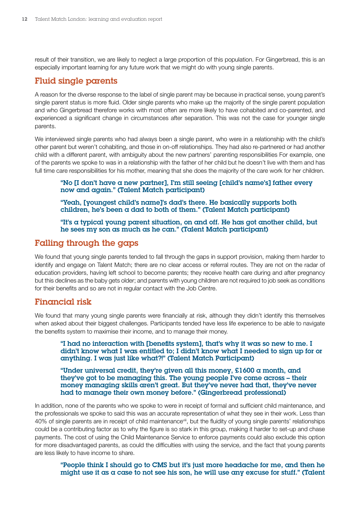result of their transition, we are likely to neglect a large proportion of this population. For Gingerbread, this is an especially important learning for any future work that we might do with young single parents.

### Fluid single parents

A reason for the diverse response to the label of single parent may be because in practical sense, young parent's single parent status is more fluid. Older single parents who make up the majority of the single parent population and who Gingerbread therefore works with most often are more likely to have cohabited and co-parented, and experienced a significant change in circumstances after separation. This was not the case for younger single parents.

We interviewed single parents who had always been a single parent, who were in a relationship with the child's other parent but weren't cohabiting, and those in on-off relationships. They had also re-partnered or had another child with a different parent, with ambiguity about the new partners' parenting responsibilities For example, one of the parents we spoke to was in a relationship with the father of her child but he doesn't live with them and has full time care responsibilities for his mother, meaning that she does the majority of the care work for her children.

#### "No [I don't have a new partner], I'm still seeing [child's name's] father every now and again." (Talent Match participant)

"Yeah, [youngest child's name]'s dad's there. He basically supports both children, he's been a dad to both of them." (Talent Match participant)

"It's a typical young parent situation, on and off. He has got another child, but he sees my son as much as he can." (Talent Match participant)

### Falling through the gaps

We found that young single parents tended to fall through the gaps in support provision, making them harder to identify and engage on Talent Match; there are no clear access or referral routes. They are not on the radar of education providers, having left school to become parents; they receive health care during and after pregnancy but this declines as the baby gets older; and parents with young children are not required to job seek as conditions for their benefits and so are not in regular contact with the Job Centre.

### Financial risk

We found that many young single parents were financially at risk, although they didn't identify this themselves when asked about their biggest challenges. Participants tended have less life experience to be able to navigate the benefits system to maximise their income, and to manage their money.

"I had no interaction with [benefits system], that's why it was so new to me. I didn't know what I was entitled to; I didn't know what I needed to sign up for or anything. I was just like what?!" (Talent Match Participant)

"Under universal credit, they're given all this money, £1600 a month, and they've got to be managing this. The young people I've come across – their money managing skills aren't great. But they've never had that, they've never had to manage their own money before." (Gingerbread professional)

In addition, none of the parents who we spoke to were in receipt of formal and sufficient child maintenance, and the professionals we spoke to said this was an accurate representation of what they see in their work. Less than 40% of single parents are in receipt of child maintenanceviii, but the fluidity of young single parents' relationships could be a contributing factor as to why the figure is so stark in this group, making it harder to set-up and chase payments. The cost of using the Child Maintenance Service to enforce payments could also exclude this option for more disadvantaged parents, as could the difficulties with using the service, and the fact that young parents are less likely to have income to share.

"People think I should go to CMS but it's just more headache for me, and then he might use it as a case to not see his son, he will use any excuse for stuff." (Talent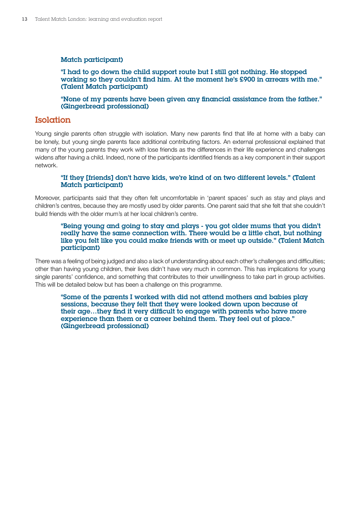#### Match participant)

"I had to go down the child support route but I still got nothing. He stopped working so they couldn't find him. At the moment he's £900 in arrears with me." (Talent Match participant)

"None of my parents have been given any financial assistance from the father." (Gingerbread professional)

#### **Isolation**

Young single parents often struggle with isolation. Many new parents find that life at home with a baby can be lonely, but young single parents face additional contributing factors. An external professional explained that many of the young parents they work with lose friends as the differences in their life experience and challenges widens after having a child. Indeed, none of the participants identified friends as a key component in their support network.

#### "If they [friends] don't have kids, we're kind of on two different levels." (Talent Match participant)

Moreover, participants said that they often felt uncomfortable in 'parent spaces' such as stay and plays and children's centres, because they are mostly used by older parents. One parent said that she felt that she couldn't build friends with the older mum's at her local children's centre.

#### "Being young and going to stay and plays - you got older mums that you didn't really have the same connection with. There would be a little chat, but nothing like you felt like you could make friends with or meet up outside." (Talent Match participant)

There was a feeling of being judged and also a lack of understanding about each other's challenges and difficulties; other than having young children, their lives didn't have very much in common. This has implications for young single parents' confidence, and something that contributes to their unwillingness to take part in group activities. This will be detailed below but has been a challenge on this programme.

"Some of the parents I worked with did not attend mothers and babies play sessions, because they felt that they were looked down upon because of their age…they find it very difficult to engage with parents who have more experience than them or  $\alpha$  career behind them. They feel out of place." (Gingerbread professional)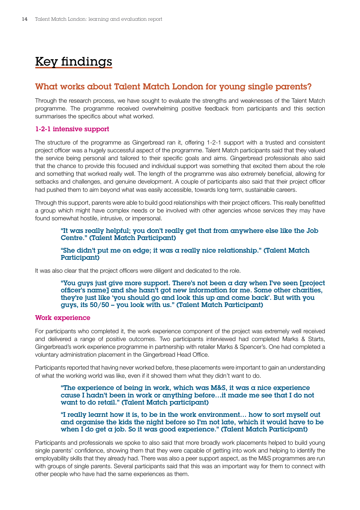## <span id="page-13-0"></span>Key findings

### What works about Talent Match London for young single parents?

Through the research process, we have sought to evaluate the strengths and weaknesses of the Talent Match programme. The programme received overwhelming positive feedback from participants and this section summarises the specifics about what worked.

#### 1-2-1 intensive support

The structure of the programme as Gingerbread ran it, offering 1-2-1 support with a trusted and consistent project officer was a hugely successful aspect of the programme. Talent Match participants said that they valued the service being personal and tailored to their specific goals and aims. Gingerbread professionals also said that the chance to provide this focused and individual support was something that excited them about the role and something that worked really well. The length of the programme was also extremely beneficial, allowing for setbacks and challenges, and genuine development. A couple of participants also said that their project officer had pushed them to aim beyond what was easily accessible, towards long term, sustainable careers.

Through this support, parents were able to build good relationships with their project officers. This really benefitted a group which might have complex needs or be involved with other agencies whose services they may have found somewhat hostile, intrusive, or impersonal.

"It was really helpful; you don't really get that from anywhere else like the Job Centre." (Talent Match Participant)

"She didn't put me on edge; it was a really nice relationship." (Talent Match Participant)

It was also clear that the project officers were diligent and dedicated to the role.

"You guys just give more support. There's not been  $\alpha$  day when I've seen [project] officer's name] and she hasn't got new information for me. Some other charities, they're just like 'you should go and look this up and come back'. But with you guys, its 50/50 – you look with us." (Talent Match Participant)

#### Work experience

For participants who completed it, the work experience component of the project was extremely well received and delivered a range of positive outcomes. Two participants interviewed had completed Marks & Starts, Gingerbread's work experience programme in partnership with retailer Marks & Spencer's. One had completed a voluntary administration placement in the Gingerbread Head Office.

Participants reported that having never worked before, these placements were important to gain an understanding of what the working world was like, even if it showed them what they didn't want to do.

"The experience of being in work, which was M&S, it was a nice experience cause I hadn't been in work or anything before…it made me see that I do not want to do retail." (Talent Match participant)

"I really learnt how it is, to be in the work environment… how to sort myself out and organise the kids the night before so I'm not late, which it would have to be when I do get a job. So it was good experience." (Talent Match Participant)

Participants and professionals we spoke to also said that more broadly work placements helped to build young single parents' confidence, showing them that they were capable of getting into work and helping to identify the employability skills that they already had. There was also a peer support aspect, as the M&S programmes are run with groups of single parents. Several participants said that this was an important way for them to connect with other people who have had the same experiences as them.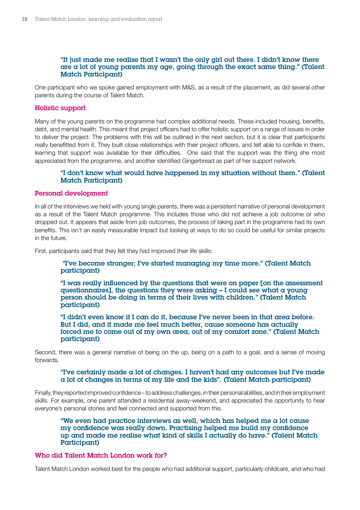#### "It just made me realise that I wasn't the only girl out there. I didn't know there are a lot of young parents my age, going through the exact same thing." (Talent Match Participant)

One participant who we spoke gained employment with M&S, as a result of the placement, as did several other parents during the course of Talent Match.

#### Holistic support

Many of the young parents on the programme had complex additional needs. These included housing, benefits, debt, and mental health. This meant that project officers had to offer holistic support on a range of issues in order to deliver the project. The problems with this will be outlined in the next section, but it is clear that participants really benefitted from it. They built close relationships with their project officers, and felt able to confide in them, learning that support was available for their difficulties. One said that the support was the thing she most appreciated from the programme, and another identified Gingerbread as part of her support network.

#### "I don't know what would have happened in my situation without them." (Talent Match Participant)

#### Personal development

In all of the interviews we held with young single parents, there was a persistent narrative of personal development as a result of the Talent Match programme. This includes those who did not achieve a job outcome or who dropped out. It appears that aside from job outcomes, the process of taking part in the programme had its own benefits. This isn't an easily measurable impact but looking at ways to do so could be useful for similar projects in the future.

First, participants said that they felt they had improved their life skills:

#### "I've become stronger; I've started managing my time more." (Talent Match participant)

"I was really influenced by the questions that were on paper [on the assessment questionnaires], the questions they were asking – I could see what a young person should be doing in terms of their lives with children." (Talent Match participant)

"I didn't even know if I can do it, because I've never been in that area before. But I did, and it made me feel much better, cause someone has actually forced me to come out of my own area, out of my comfort zone." (Talent Match participant)

Second, there was a general narrative of being on the up, being on a path to a goal, and a sense of moving forwards.

#### "I've certainly made a lot of changes. I haven't had any outcomes but I've made a lot of changes in terms of my life and the kids". (Talent Match participant)

Finally, they reported improved confidence – to address challenges, in their personal abilities, and in their employment skills. For example, one parent attended a residential away-weekend, and appreciated the opportunity to hear everyone's personal stories and feel connected and supported from this.

"We even had practice interviews as well, which has helped me a lot cause my confidence was really down. Practising helped me build my confidence up and made me realise what kind of skills I actually do have." (Talent Match Participant)

#### Who did Talent Match London work for?

Talent Match London worked best for the people who had additional support, particularly childcare, and who had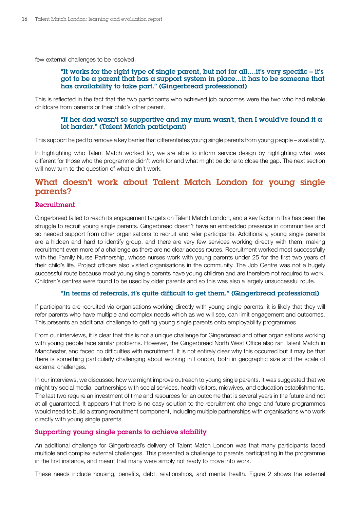<span id="page-15-0"></span>few external challenges to be resolved.

#### "It works for the right type of single parent, but not for all….it's very specific – it's got to be a parent that has a support system in place... it has to be someone that has availability to take part." (Gingerbread professional)

This is reflected in the fact that the two participants who achieved job outcomes were the two who had reliable childcare from parents or their child's other parent.

#### "If her dad wasn't so supportive and my mum wasn't, then I would've found it a lot harder." (Talent Match participant)

This support helped to remove a key barrier that differentiates young single parents from young people – availability.

In highlighting who Talent Match worked for, we are able to inform service design by highlighting what was different for those who the programme didn't work for and what might be done to close the gap. The next section will now turn to the question of what didn't work.

## What doesn't work about Talent Match London for young single parents?

#### Recruitment

Gingerbread failed to reach its engagement targets on Talent Match London, and a key factor in this has been the struggle to recruit young single parents. Gingerbread doesn't have an embedded presence in communities and so needed support from other organisations to recruit and refer participants. Additionally, young single parents are a hidden and hard to identify group, and there are very few services working directly with them, making recruitment even more of a challenge as there are no clear access routes. Recruitment worked most successfully with the Family Nurse Partnership, whose nurses work with young parents under 25 for the first two years of their child's life. Project officers also visited organisations in the community. The Job Centre was not a hugely successful route because most young single parents have young children and are therefore not required to work. Children's centres were found to be used by older parents and so this was also a largely unsuccessful route.

#### "In terms of referrals, it's quite difficult to get them." (Gingerbread professional)

If participants are recruited via organisations working directly with young single parents, it is likely that they will refer parents who have multiple and complex needs which as we will see, can limit engagement and outcomes. This presents an additional challenge to getting young single parents onto employability programmes.

From our interviews, it is clear that this is not a unique challenge for Gingerbread and other organisations working with young people face similar problems. However, the Gingerbread North West Office also ran Talent Match in Manchester, and faced no difficulties with recruitment. It is not entirely clear why this occurred but it may be that there is something particularly challenging about working in London, both in geographic size and the scale of external challenges.

In our interviews, we discussed how we might improve outreach to young single parents. It was suggested that we might try social media, partnerships with social services, health visitors, midwives, and education establishments. The last two require an investment of time and resources for an outcome that is several years in the future and not at all guaranteed. It appears that there is no easy solution to the recruitment challenge and future programmes would need to build a strong recruitment component, including multiple partnerships with organisations who work directly with young single parents.

#### Supporting young single parents to achieve stability

An additional challenge for Gingerbread's delivery of Talent Match London was that many participants faced multiple and complex external challenges. This presented a challenge to parents participating in the programme in the first instance, and meant that many were simply not ready to move into work.

These needs include housing, benefits, debt, relationships, and mental health. Figure 2 shows the external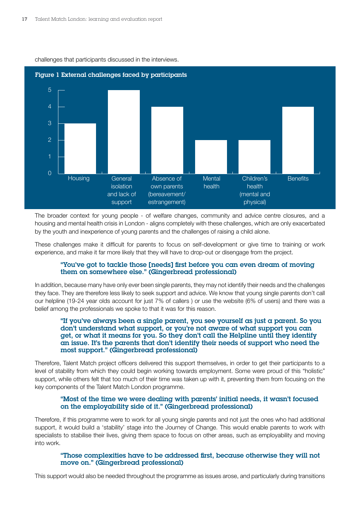

challenges that participants discussed in the interviews.

The broader context for young people - of welfare changes, community and advice centre closures, and a housing and mental health crisis in London - aligns completely with these challenges, which are only exacerbated by the youth and inexperience of young parents and the challenges of raising a child alone.

These challenges make it difficult for parents to focus on self-development or give time to training or work experience, and make it far more likely that they will have to drop-out or disengage from the project.

#### "You've got to tackle those [needs] first before you can even dream of moving them on somewhere else." (Gingerbread professional)

In addition, because many have only ever been single parents, they may not identify their needs and the challenges they face. They are therefore less likely to seek support and advice. We know that young single parents don't call our helpline (19-24 year olds account for just 7% of callers ) or use the website (6% of users) and there was a belief among the professionals we spoke to that it was for this reason.

#### "If you've always been a single parent, you see yourself as just a parent. So you don't understand what support, or you're not aware of what support you can get, or what it means for you. So they don't call the Helpline until they identify an issue. It's the parents that don't identify their needs of support who need the most support." (Gingerbread professional)

Therefore, Talent Match project officers delivered this support themselves, in order to get their participants to a level of stability from which they could begin working towards employment. Some were proud of this "holistic" support, while others felt that too much of their time was taken up with it, preventing them from focusing on the key components of the Talent Match London programme.

#### "Most of the time we were dealing with parents' initial needs, it wasn't focused on the employability side of it." (Gingerbread professional)

Therefore, if this programme were to work for all young single parents and not just the ones who had additional support, it would build a 'stability' stage into the Journey of Change. This would enable parents to work with specialists to stabilise their lives, giving them space to focus on other areas, such as employability and moving into work.

#### "Those complexities have to be addressed first, because otherwise they will not move on." (Gingerbread professional)

This support would also be needed throughout the programme as issues arose, and particularly during transitions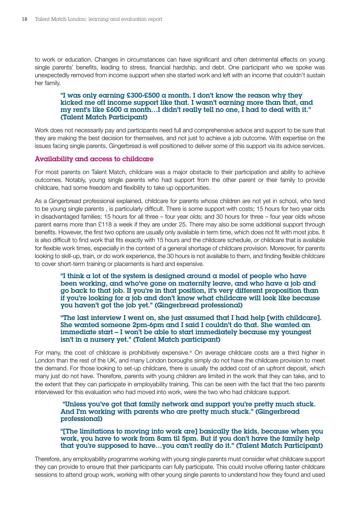to work or education. Changes in circumstances can have significant and often detrimental effects on young single parents' benefits, leading to stress, financial hardship, and debt. One participant who we spoke was unexpectedly removed from income support when she started work and left with an income that couldn't sustain her family.

#### "I was only earning  $£300-E500$  a month. I don't know the reason why they kicked me off income support like that. I wasn't earning more than that, and my rent's like £600 a month…I didn't really tell no one, I had to deal with it." (Talent Match Participant)

Work does not necessarily pay and participants need full and comprehensive advice and support to be sure that they are making the best decision for themselves, and not just to achieve a job outcome. With expertise on the issues facing single parents, Gingerbread is well positioned to deliver some of this support via its advice services.

#### Availability and access to childcare

For most parents on Talent Match, childcare was a major obstacle to their participation and ability to achieve outcomes. Notably, young single parents who had support from the other parent or their family to provide childcare, had some freedom and flexibility to take up opportunities.

As a Gingerbread professional explained, childcare for parents whose children are not yet in school, who tend to be young single parents , is particularly difficult. There is some support with costs; 15 hours for two year olds in disadvantaged families; 15 hours for all three – four year olds; and 30 hours for three – four year olds whose parent earns more than £118 a week if they are under 25. There may also be some additional support through benefits. However, the first two options are usually only available in term time, which does not fit with most jobs. It is also difficult to find work that fits exactly with 15 hours and the childcare schedule, or childcare that is available for flexible work times, especially in the context of a general shortage of childcare provision. Moreover, for parents looking to skill-up, train, or do work experience, the 30 hours is not available to them, and finding flexible childcare to cover short-term training or placements is hard and expensive.

"I think  $\alpha$  lot of the system is designed around  $\alpha$  model of people who have been working, and who've gone on maternity leave, and who have a job and go back to that job. If you're in that position, it's very different proposition than if you're looking for a job and don't know what childcare will look like because you haven't got the job yet." (Gingerbread professional)

"The last interview I went on, she just assumed that I had help [with childcare]. She wanted someone 2pm-6pm and I said I couldn't do that. She wanted an immediate start – I won't be able to start immediately because my youngest isn't in a nursery yet." (Talent Match participant)

For many, the cost of childcare is prohibitively expensive.<sup>xi</sup> On average childcare costs are a third higher in London than the rest of the UK, and many London boroughs simply do not have the childcare provision to meet the demand. For those looking to set-up childcare, there is usually the added cost of an upfront deposit, which many just do not have. Therefore, parents with young children are limited in the work that they can take, and to the extent that they can participate in employability training. This can be seen with the fact that the two parents interviewed for this evaluation who had moved into work, were the two who had childcare support.

 "Unless you've got that family network and support you're pretty much stuck. And I'm working with parents who are pretty much stuck." (Gingerbread professional)

"[The limitations to moving into work are] basically the kids, because when you work, you have to work from 8am til 5pm. But if you don't have the family help that you're supposed to have…you can't really do it." (Talent Match Participant)

Therefore, any employability programme working with young single parents must consider what childcare support they can provide to ensure that their participants can fully participate. This could involve offering taster childcare sessions to attend group work, working with other young single parents to understand how they found and used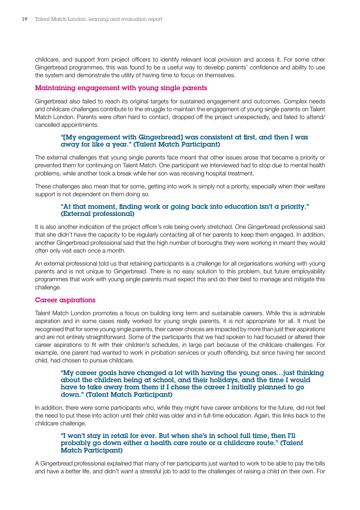childcare, and support from project officers to identify relevant local provision and access it. For some other Gingerbread programmes, this was found to be a useful way to develop parents' confidence and ability to use the system and demonstrate the utility of having time to focus on themselves.

#### Maintaining engagement with young single parents

Gingerbread also failed to reach its original targets for sustained engagement and outcomes. Complex needs and childcare challenges contribute to the struggle to maintain the engagement of young single parents on Talent Match London. Parents were often hard to contact, dropped off the project unexpectedly, and failed to attend/ cancelled appointments.

#### "[My engagement with Gingerbread] was consistent at first, and then I was away for like a year." (Talent Match Participant)

The external challenges that young single parents face meant that other issues arose that became a priority or prevented them for continuing on Talent Match. One participant we interviewed had to stop due to mental health problems, while another took a break while her son was receiving hospital treatment.

These challenges also mean that for some, getting into work is simply not a priority, especially when their welfare support is not dependent on them doing so.

#### "At that moment, finding work or going back into education isn't a priority." (External professional)

It is also another indication of the project officer's role being overly stretched. One Gingerbread professional said that she didn't have the capacity to be regularly contacting all of her parents to keep them engaged. In addition, another Gingerbread professional said that the high number of boroughs they were working in meant they would often only visit each once a month.

An external professional told us that retaining participants is a challenge for all organisations working with young parents and is not unique to Gingerbread. There is no easy solution to this problem, but future employability programmes that work with young single parents must expect this and do their best to manage and mitigate this challenge.

#### Career aspirations

Talent Match London promotes a focus on building long term and sustainable careers. While this is admirable aspiration and in some cases really worked for young single parents, it is not appropriate for all. It must be recognised that for some young single parents, their career choices are impacted by more than just their aspirations and are not entirely straightforward. Some of the participants that we had spoken to had focused or altered their career aspirations to fit with their children's schedules, in large part because of the childcare challenges. For example, one parent had wanted to work in probation services or youth offending, but since having her second child, had chosen to pursue childcare.

#### "My career goals have changed a lot with having the young ones... just thinking about the children being at school, and their holidays, and the time I would have to take away from them if I chose the career I initially planned to go down." (Talent Match Participant)

In addition, there were some participants who, while they might have career ambitions for the future, did not feel the need to put these into action until their child was older and in full-time education. Again, this links back to the childcare challenge.

#### "I won't stay in retail for ever. But when she's in school full time, then I'll probably go down either a health care route or a childcare route." (Talent Match Participant)

A Gingerbread professional explained that many of her participants just wanted to work to be able to pay the bills and have a better life, and didn't want a stressful job to add to the challenges of raising a child on their own. For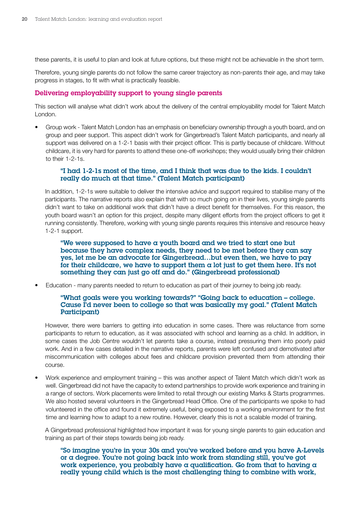these parents, it is useful to plan and look at future options, but these might not be achievable in the short term.

Therefore, young single parents do not follow the same career trajectory as non-parents their age, and may take progress in stages, to fit with what is practically feasible.

#### Delivering employability support to young single parents

This section will analyse what didn't work about the delivery of the central employability model for Talent Match London.

• Group work - Talent Match London has an emphasis on beneficiary ownership through a youth board, and on group and peer support. This aspect didn't work for Gingerbread's Talent Match participants, and nearly all support was delivered on a 1-2-1 basis with their project officer. This is partly because of childcare. Without childcare, it is very hard for parents to attend these one-off workshops; they would usually bring their children to their 1-2-1s.

#### "I had 1-2-1s most of the time, and I think that was due to the kids. I couldn't really do much at that time." (Talent Match participant)

In addition, 1-2-1s were suitable to deliver the intensive advice and support required to stabilise many of the participants. The narrative reports also explain that with so much going on in their lives, young single parents didn't want to take on additional work that didn't have a direct benefit for themselves. For this reason, the youth board wasn't an option for this project, despite many diligent efforts from the project officers to get it running consistently. Therefore, working with young single parents requires this intensive and resource heavy 1-2-1 support.

"We were supposed to have a youth board and we tried to start one but because they have complex needs, they need to be met before they can say yes, let me be an advocate for Gingerbread…but even then, we have to pay for their childcare, we have to support them a lot just to get them here. It's not something they can just go off and do." (Gingerbread professional)

• Education - many parents needed to return to education as part of their journey to being job ready.

#### "What goals were you working towards?" "Going back to education – college. Cause I'd never been to college so that was basically my goal." (Talent Match Participant)

However, there were barriers to getting into education in some cases. There was reluctance from some participants to return to education, as it was associated with school and learning as a child. In addition, in some cases the Job Centre wouldn't let parents take a course, instead pressuring them into poorly paid work. And in a few cases detailed in the narrative reports, parents were left confused and demotivated after miscommunication with colleges about fees and childcare provision prevented them from attending their course.

• Work experience and employment training – this was another aspect of Talent Match which didn't work as well. Gingerbread did not have the capacity to extend partnerships to provide work experience and training in a range of sectors. Work placements were limited to retail through our existing Marks & Starts programmes. We also hosted several volunteers in the Gingerbread Head Office. One of the participants we spoke to had volunteered in the office and found it extremely useful, being exposed to a working environment for the first time and learning how to adapt to a new routine. However, clearly this is not a scalable model of training.

A Gingerbread professional highlighted how important it was for young single parents to gain education and training as part of their steps towards being job ready.

"So imagine you're in your 30s and you've worked before and you have A-Levels or a degree. You're not going back into work from standing still, you've got work experience, you probably have a qualification. Go from that to having  $\alpha$ really young child which is the most challenging thing to combine with work,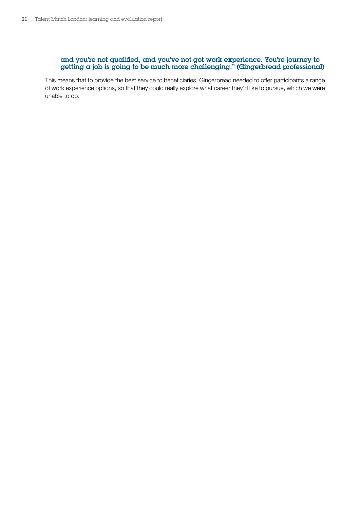#### and you're not qualified, and you've not got work experience. You're journey to getting a job is going to be much more challenging." (Gingerbread professional)

This means that to provide the best service to beneficiaries, Gingerbread needed to offer participants a range of work experience options, so that they could really explore what career they'd like to pursue, which we were unable to do.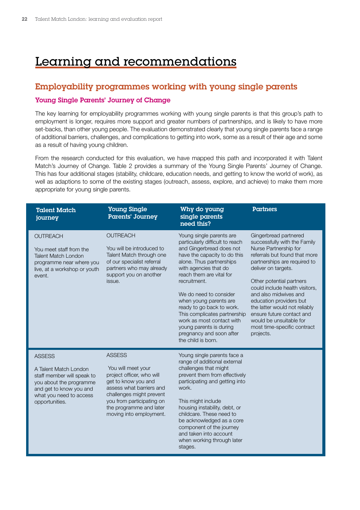## <span id="page-21-0"></span>Learning and recommendations

## Employability programmes working with young single parents

#### Young Single Parents' Journey of Change

The key learning for employability programmes working with young single parents is that this group's path to employment is longer, requires more support and greater numbers of partnerships, and is likely to have more set-backs, than other young people. The evaluation demonstrated clearly that young single parents face a range of additional barriers, challenges, and complications to getting into work, some as a result of their age and some as a result of having young children.

From the research conducted for this evaluation, we have mapped this path and incorporated it with Talent Match's Journey of Change. Table 2 provides a summary of the Young Single Parents' Journey of Change. This has four additional stages (stability, childcare, education needs, and getting to know the world of work), as well as adaptions to some of the existing stages (outreach, assess, explore, and achieve) to make them more appropriate for young single parents.

| <b>Talent Match</b><br>journey                                                                                                                                          | <b>Young Single</b><br>Parents' Journey                                                                                                                                                                                            | Why do young<br>single parents<br>need this?                                                                                                                                                                                                                                                                                                                                                                                                        | Partners                                                                                                                                                                                                                                                                                                                                                                                                                      |
|-------------------------------------------------------------------------------------------------------------------------------------------------------------------------|------------------------------------------------------------------------------------------------------------------------------------------------------------------------------------------------------------------------------------|-----------------------------------------------------------------------------------------------------------------------------------------------------------------------------------------------------------------------------------------------------------------------------------------------------------------------------------------------------------------------------------------------------------------------------------------------------|-------------------------------------------------------------------------------------------------------------------------------------------------------------------------------------------------------------------------------------------------------------------------------------------------------------------------------------------------------------------------------------------------------------------------------|
| <b>OUTREACH</b><br>You meet staff from the<br><b>Talent Match London</b><br>programme near where you<br>live, at a workshop or youth<br>event.                          | <b>OUTREACH</b><br>You will be introduced to<br>Talent Match through one<br>of our specialist referral<br>partners who may already<br>support you on another<br>issue.                                                             | Young single parents are<br>particularly difficult to reach<br>and Gingerbread does not<br>have the capacity to do this<br>alone. Thus partnerships<br>with agencies that do<br>reach them are vital for<br>recruitment.<br>We do need to consider<br>when young parents are<br>ready to go back to work.<br>This complicates partnership<br>work as most contact with<br>young parents is during<br>pregnancy and soon after<br>the child is born. | Gingerbread partnered<br>successfully with the Family<br>Nurse Partnership for<br>referrals but found that more<br>partnerships are required to<br>deliver on targets.<br>Other potential partners<br>could include health visitors,<br>and also midwives and<br>education providers but<br>the latter would not reliably<br>ensure future contact and<br>would be unsuitable for<br>most time-specific contract<br>projects. |
| <b>ASSESS</b><br>A Talent Match London<br>staff member will speak to<br>you about the programme<br>and get to know you and<br>what you need to access<br>opportunities. | <b>ASSESS</b><br>You will meet your<br>project officer, who will<br>get to know you and<br>assess what barriers and<br>challenges might prevent<br>you from participating on<br>the programme and later<br>moving into employment. | Young single parents face a<br>range of additional external<br>challenges that might<br>prevent them from effectively<br>participating and getting into<br>work.<br>This might include<br>housing instability, debt, or<br>childcare. These need to<br>be acknowledged as a core<br>component of the journey<br>and taken into account<br>when working through later<br>stages.                                                                     |                                                                                                                                                                                                                                                                                                                                                                                                                               |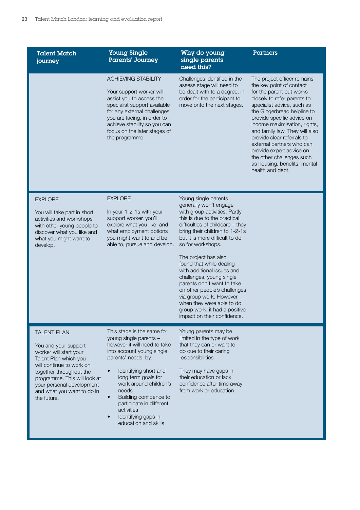Talent Match journey

Young Single Parents' Journey

ACHIEVING STABILITY

Your support worker will assist you to access the specialist support available for any external challenges you are facing, in order to achieve stability so you can focus on the later stages of

#### Why do young single parents need this?

Challenges identified in the assess stage will need to be dealt with to a degree, in order for the participant to move onto the next stages.

The project officer remains the key point of contact for the parent but works closely to refer parents to specialist advice, such as the Gingerbread helpline to provide specific advice on income maximisation, rights, and family law. They will also provide clear referrals to external partners who can provide expert advice on the other challenges such as housing, benefits, mental health and debt.

**Partners** 

#### **EXPLORE**

You will take part in short activities and workshops with other young people to discover what you like and what you might want to develop.

#### **EXPLORE**

the programme.

In your 1-2-1s with your support worker, you'll explore what you like, and what employment options you might want to and be able to, pursue and develop.

Young single parents generally won't engage with group activities. Partly this is due to the practical difficulties of childcare – they bring their children to 1-2-1s but it is more difficult to do so for workshops.

The project has also found that while dealing with additional issues and challenges, young single parents don't want to take on other people's challenges via group work. However, when they were able to do group work, it had a positive impact on their confidence.

#### TAI FNT PLAN

You and your support worker will start your Talent Plan which you will continue to work on together throughout the programme. This will look at your personal development and what you want to do in the future.

This stage is the same for young single parents – however it will need to take into account young single parents' needs, by:

- Identifying short and long term goals for work around children's needs
- Building confidence to participate in different activities
- Identifying gaps in education and skills

Young parents may be limited in the type of work that they can or want to do due to their caring responsibilities.

They may have gaps in their education or lack confidence after time away from work or education.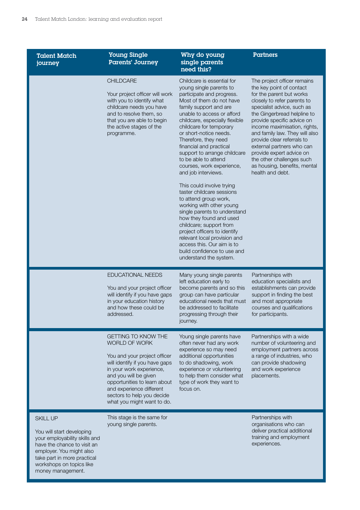Talent Match journey

#### Young Single Parents' Journey

## Why do young single parents

Partners

| younud                                                                                                       |                                                                                                                                                                                                                                                                                            | need this?                                                                                                                                                                                                                                                                                                                                                                                                                                                                                                                                                                                                                                                                                                                                                                               |                                                                                                                                                                                                                                                                                                                                                                                                                                                         |
|--------------------------------------------------------------------------------------------------------------|--------------------------------------------------------------------------------------------------------------------------------------------------------------------------------------------------------------------------------------------------------------------------------------------|------------------------------------------------------------------------------------------------------------------------------------------------------------------------------------------------------------------------------------------------------------------------------------------------------------------------------------------------------------------------------------------------------------------------------------------------------------------------------------------------------------------------------------------------------------------------------------------------------------------------------------------------------------------------------------------------------------------------------------------------------------------------------------------|---------------------------------------------------------------------------------------------------------------------------------------------------------------------------------------------------------------------------------------------------------------------------------------------------------------------------------------------------------------------------------------------------------------------------------------------------------|
|                                                                                                              | <b>CHILDCARE</b><br>Your project officer will work<br>with you to identify what<br>childcare needs you have<br>and to resolve them, so<br>that you are able to begin<br>the active stages of the<br>programme.                                                                             | Childcare is essential for<br>young single parents to<br>participate and progress.<br>Most of them do not have<br>family support and are<br>unable to access or afford<br>childcare, especially flexible<br>childcare for temporary<br>or short-notice needs.<br>Therefore, they need<br>financial and practical<br>support to arrange childcare<br>to be able to attend<br>courses, work experience,<br>and job interviews.<br>This could involve trying<br>taster childcare sessions<br>to attend group work,<br>working with other young<br>single parents to understand<br>how they found and used<br>childcare; support from<br>project officers to identify<br>relevant local provision and<br>access this. Our aim is to<br>build confidence to use and<br>understand the system. | The project officer remains<br>the key point of contact<br>for the parent but works<br>closely to refer parents to<br>specialist advice, such as<br>the Gingerbread helpline to<br>provide specific advice on<br>income maximisation, rights,<br>and family law. They will also<br>provide clear referrals to<br>external partners who can<br>provide expert advice on<br>the other challenges such<br>as housing, benefits, mental<br>health and debt. |
|                                                                                                              | EDUCATIONAL NEEDS<br>You and your project officer<br>will identify if you have gaps<br>in your education history<br>and how these could be<br>addressed.                                                                                                                                   | Many young single parents<br>left education early to<br>become parents and so this<br>group can have particular<br>educational needs that must<br>be addressed to facilitate<br>progressing through their<br>journey.                                                                                                                                                                                                                                                                                                                                                                                                                                                                                                                                                                    | Partnerships with<br>education specialists and<br>establishments can provide<br>support in finding the best<br>and most appropriate<br>courses and qualifications<br>for participants.                                                                                                                                                                                                                                                                  |
|                                                                                                              | GETTING TO KNOW THE<br><b>WORLD OF WORK</b><br>You and your project officer<br>will identify if you have gaps<br>in your work experience,<br>and you will be given<br>opportunities to learn about<br>and experience different<br>sectors to help you decide<br>what you might want to do. | Young single parents have<br>often never had any work<br>experience so may need<br>additional opportunities<br>to do shadowing, work<br>experience or volunteering<br>to help them consider what<br>type of work they want to<br>focus on.                                                                                                                                                                                                                                                                                                                                                                                                                                                                                                                                               | Partnerships with a wide<br>number of volunteering and<br>employment partners across<br>a range of industries, who<br>can provide shadowing<br>and work experience<br>placements.                                                                                                                                                                                                                                                                       |
| <b>SKILL UP</b><br>You will start developing<br>your employability skills and<br>have the chance to visit an | This stage is the same for<br>young single parents.                                                                                                                                                                                                                                        |                                                                                                                                                                                                                                                                                                                                                                                                                                                                                                                                                                                                                                                                                                                                                                                          | Partnerships with<br>organisations who can<br>deliver practical additional<br>training and employment<br>experiences.                                                                                                                                                                                                                                                                                                                                   |

employer. You might also take part in more practical workshops on topics like money management.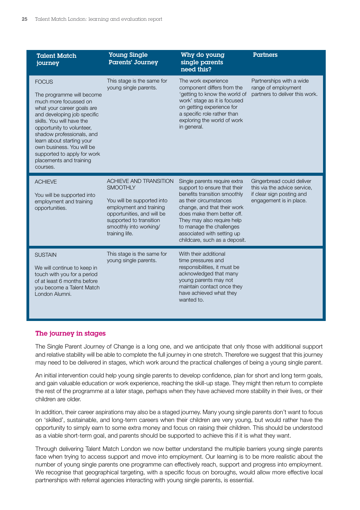| <b>Talent Match</b><br>journey                                                                                                                                                                                                                                                                                                                         | <b>Young Single</b><br>Parents' Journey                                                                                                                                                                        | Why do young<br>single parents<br>need this?                                                                                                                                                                                                                                                                 | <b>Partners</b>                                                                                                   |
|--------------------------------------------------------------------------------------------------------------------------------------------------------------------------------------------------------------------------------------------------------------------------------------------------------------------------------------------------------|----------------------------------------------------------------------------------------------------------------------------------------------------------------------------------------------------------------|--------------------------------------------------------------------------------------------------------------------------------------------------------------------------------------------------------------------------------------------------------------------------------------------------------------|-------------------------------------------------------------------------------------------------------------------|
| <b>FOCUS</b><br>The programme will become<br>much more focussed on<br>what your career goals are<br>and developing job specific<br>skills. You will have the<br>opportunity to volunteer,<br>shadow professionals, and<br>learn about starting your<br>own business. You will be<br>supported to apply for work<br>placements and training<br>courses. | This stage is the same for<br>young single parents.                                                                                                                                                            | The work experience<br>component differs from the<br>'getting to know the world of<br>work' stage as it is focused<br>on getting experience for<br>a specific role rather than<br>exploring the world of work<br>in general.                                                                                 | Partnerships with a wide<br>range of employment<br>partners to deliver this work.                                 |
| <b>ACHIEVE</b><br>You will be supported into<br>employment and training<br>opportunities.                                                                                                                                                                                                                                                              | <b>ACHIEVE AND TRANSITION</b><br><b>SMOOTHLY</b><br>You will be supported into<br>employment and training<br>opportunities, and will be<br>supported to transition<br>smoothly into working/<br>training life. | Single parents require extra<br>support to ensure that their<br>benefits transition smoothly<br>as their circumstances<br>change, and that their work<br>does make them better off.<br>They may also require help<br>to manage the challenges<br>associated with setting up<br>childcare, such as a deposit. | Gingerbread could deliver<br>this via the advice service,<br>if clear sign posting and<br>engagement is in place. |
| <b>SUSTAIN</b><br>We will continue to keep in<br>touch with you for a period<br>of at least 6 months before<br>you become a Talent Match<br>London Alumni.                                                                                                                                                                                             | This stage is the same for<br>young single parents.                                                                                                                                                            | With their additional<br>time pressures and<br>responsibilities, it must be<br>acknowledged that many<br>young parents may not<br>maintain contact once they<br>have achieved what they<br>wanted to.                                                                                                        |                                                                                                                   |

#### The journey in stages

The Single Parent Journey of Change is a long one, and we anticipate that only those with additional support and relative stability will be able to complete the full journey in one stretch. Therefore we suggest that this journey may need to be delivered in stages, which work around the practical challenges of being a young single parent.

An initial intervention could help young single parents to develop confidence, plan for short and long term goals, and gain valuable education or work experience, reaching the skill-up stage. They might then return to complete the rest of the programme at a later stage, perhaps when they have achieved more stability in their lives, or their children are older.

In addition, their career aspirations may also be a staged journey. Many young single parents don't want to focus on 'skilled', sustainable, and long-term careers when their children are very young, but would rather have the opportunity to simply earn to some extra money and focus on raising their children. This should be understood as a viable short-term goal, and parents should be supported to achieve this if it is what they want.

Through delivering Talent Match London we now better understand the multiple barriers young single parents face when trying to access support and move into employment. Our learning is to be more realistic about the number of young single parents one programme can effectively reach, support and progress into employment. We recognise that geographical targeting, with a specific focus on boroughs, would allow more effective local partnerships with referral agencies interacting with young single parents, is essential.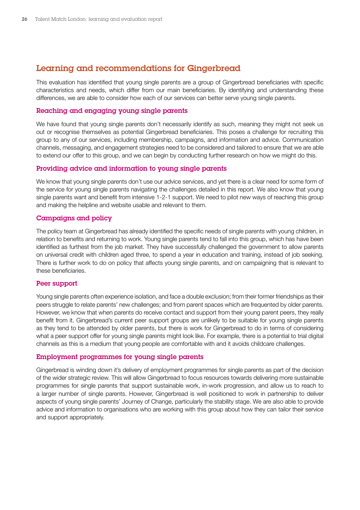## <span id="page-25-0"></span>Learning and recommendations for Gingerbread

This evaluation has identified that young single parents are a group of Gingerbread beneficiaries with specific characteristics and needs, which differ from our main beneficiaries. By identifying and understanding these differences, we are able to consider how each of our services can better serve young single parents.

#### Reaching and engaging young single parents

We have found that young single parents don't necessarily identify as such, meaning they might not seek us out or recognise themselves as potential Gingerbread beneficiaries. This poses a challenge for recruiting this group to any of our services, including membership, campaigns, and information and advice. Communication channels, messaging, and engagement strategies need to be considered and tailored to ensure that we are able to extend our offer to this group, and we can begin by conducting further research on how we might do this.

#### Providing advice and information to young single parents

We know that young single parents don't use our advice services, and yet there is a clear need for some form of the service for young single parents navigating the challenges detailed in this report. We also know that young single parents want and benefit from intensive 1-2-1 support. We need to pilot new ways of reaching this group and making the helpline and website usable and relevant to them.

#### Campaigns and policy

The policy team at Gingerbread has already identified the specific needs of single parents with young children, in relation to benefits and returning to work. Young single parents tend to fall into this group, which has have been identified as furthest from the job market. They have successfully challenged the government to allow parents on universal credit with children aged three, to spend a year in education and training, instead of job seeking. There is further work to do on policy that affects young single parents, and on campaigning that is relevant to these beneficiaries.

#### Peer support

Young single parents often experience isolation, and face a double exclusion; from their former friendships as their peers struggle to relate parents' new challenges; and from parent spaces which are frequented by older parents. However, we know that when parents do receive contact and support from their young parent peers, they really benefit from it. Gingerbread's current peer support groups are unlikely to be suitable for young single parents as they tend to be attended by older parents, but there is work for Gingerbread to do in terms of considering what a peer support offer for young single parents might look like. For example, there is a potential to trial digital channels as this is a medium that young people are comfortable with and it avoids childcare challenges.

#### Employment programmes for young single parents

Gingerbread is winding down it's delivery of employment programmes for single parents as part of the decision of the wider strategic review. This will allow Gingerbread to focus resources towards delivering more sustainable programmes for single parents that support sustainable work, in-work progression, and allow us to reach to a larger number of single parents. However, Gingerbread is well positioned to work in partnership to deliver aspects of young single parents' Journey of Change, particularly the stability stage. We are also able to provide advice and information to organisations who are working with this group about how they can tailor their service and support appropriately.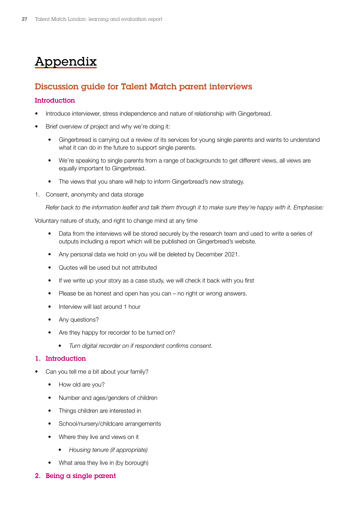## <span id="page-26-0"></span>Appendix

## Discussion guide for Talent Match parent interviews

#### **Introduction**

- Introduce interviewer, stress independence and nature of relationship with Gingerbread.
- Brief overview of project and why we're doing it:
	- Gingerbread is carrying out a review of its services for young single parents and wants to understand what it can do in the future to support single parents.
	- We're speaking to single parents from a range of backgrounds to get different views, all views are equally important to Gingerbread.
	- The views that you share will help to inform Gingerbread's new strategy.
- 1. Consent, anonymity and data storage

*Refer back to the information leaflet and talk them through it to make sure they're happy with it. Emphasise:*

Voluntary nature of study, and right to change mind at any time

- Data from the interviews will be stored securely by the research team and used to write a series of outputs including a report which will be published on Gingerbread's website.
- Any personal data we hold on you will be deleted by December 2021.
- Quotes will be used but not attributed
- If we write up your story as a case study, we will check it back with you first
- Please be as honest and open has you can no right or wrong answers.
- Interview will last around 1 hour
- Any questions?
- Are they happy for recorder to be turned on?
	- *• Turn digital recorder on if respondent confirms consent.*

#### 1. Introduction

- Can you tell me a bit about your family?
	- How old are you?
	- Number and ages/genders of children
	- Things children are interested in
	- School/nursery/childcare arrangements
	- Where they live and views on it
		- *• Housing tenure (if appropriate)*
	- What area they live in (by borough)
- 2. Being a single parent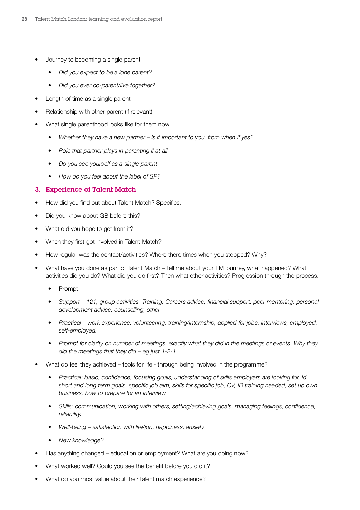- Journey to becoming a single parent
	- *• Did you expect to be a lone parent?*
	- *• Did you ever co-parent/live together?*
- Length of time as a single parent
- Relationship with other parent (if relevant).
- What single parenthood looks like for them now
	- *• Whether they have a new partner is it important to you, from when if yes?*
	- *• Role that partner plays in parenting if at all*
	- *• Do you see yourself as a single parent*
	- *• How do you feel about the label of SP?*

#### 3. Experience of Talent Match

- How did you find out about Talent Match? Specifics.
- Did you know about GB before this?
- What did you hope to get from it?
- When they first got involved in Talent Match?
- How regular was the contact/activities? Where there times when you stopped? Why?
- What have you done as part of Talent Match tell me about your TM journey, what happened? What activities did you do? What did you do first? Then what other activities? Progression through the process.
	- Prompt:
	- *• Support 121, group activities. Training, Careers advice, financial support, peer mentoring, personal development advice, counselling, other*
	- *• Practical work experience, volunteering, training/internship, applied for jobs, interviews, employed, self-employed.*
	- *• Prompt for clarity on number of meetings, exactly what they did in the meetings or events. Why they did the meetings that they did – eg just 1-2-1.*
- What do feel they achieved tools for life through being involved in the programme?
	- *• Practical: basic, confidence, focusing goals, understanding of skills employers are looking for, Id short and long term goals, specific job aim, skills for specific job, CV, ID training needed, set up own business, how to prepare for an interview*
	- *• Skills: communication, working with others, setting/achieving goals, managing feelings, confidence, reliability.*
	- *• Well-being satisfaction with life/job, happiness, anxiety.*
	- *• New knowledge?*
- Has anything changed education or employment? What are you doing now?
- What worked well? Could you see the benefit before you did it?
- What do you most value about their talent match experience?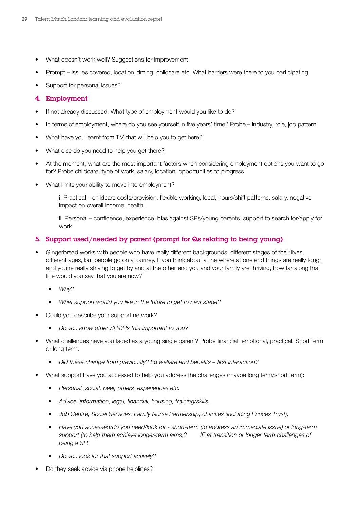- What doesn't work well? Suggestions for improvement
- Prompt issues covered, location, timing, childcare etc. What barriers were there to you participating.
- Support for personal issues?

#### 4. Employment

- If not already discussed: What type of employment would you like to do?
- In terms of employment, where do you see yourself in five years' time? Probe industry, role, job pattern
- What have you learnt from TM that will help you to get here?
- What else do you need to help you get there?
- At the moment, what are the most important factors when considering employment options you want to go for? Probe childcare, type of work, salary, location, opportunities to progress
- What limits your ability to move into employment?

i. Practical – childcare costs/provision, flexible working, local, hours/shift patterns, salary, negative impact on overall income, health.

ii. Personal – confidence, experience, bias against SPs/young parents, support to search for/apply for work.

#### 5. Support used/needed by parent (prompt for Qs relating to being young)

- Gingerbread works with people who have really different backgrounds, different stages of their lives, different ages, but people go on a journey. If you think about a line where at one end things are really tough and you're really striving to get by and at the other end you and your family are thriving, how far along that line would you say that you are now?
	- *• Why?*
	- *• What support would you like in the future to get to next stage?*
- Could you describe your support network?
	- *• Do you know other SPs? Is this important to you?*
- What challenges have you faced as a young single parent? Probe financial, emotional, practical. Short term or long term.
	- *• Did these change from previously? Eg welfare and benefits first interaction?*
- What support have you accessed to help you address the challenges (maybe long term/short term):
	- *• Personal, social, peer, others' experiences etc.*
	- *• Advice, information, legal, financial, housing, training/skills,*
	- *• Job Centre, Social Services, Family Nurse Partnership, charities (including Princes Trust),*
	- *• Have you accessed/do you need/look for short-term (to address an immediate issue) or long-term support (to help them achieve longer-term aims)? IE at transition or longer term challenges of being a SP.*
	- *• Do you look for that support actively?*
- Do they seek advice via phone helplines?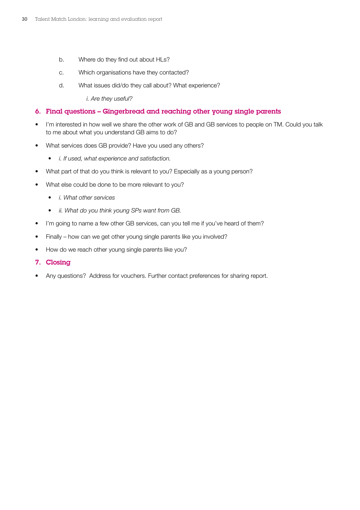- b. Where do they find out about HLs?
- c. Which organisations have they contacted?
- d. What issues did/do they call about? What experience?

*i. Are they useful?* 

#### 6. Final questions – Gingerbread and reaching other young single parents

- I'm interested in how well we share the other work of GB and GB services to people on TM. Could you talk to me about what you understand GB aims to do?
- What services does GB provide? Have you used any others?
	- *• i. If used, what experience and satisfaction.*
- What part of that do you think is relevant to you? Especially as a young person?
- What else could be done to be more relevant to you?
	- *• i. What other services*
	- *• ii. What do you think young SPs want from GB.*
- I'm going to name a few other GB services, can you tell me if you've heard of them?
- Finally how can we get other young single parents like you involved?
- How do we reach other young single parents like you?
- 7. Closing
- Any questions? Address for vouchers. Further contact preferences for sharing report.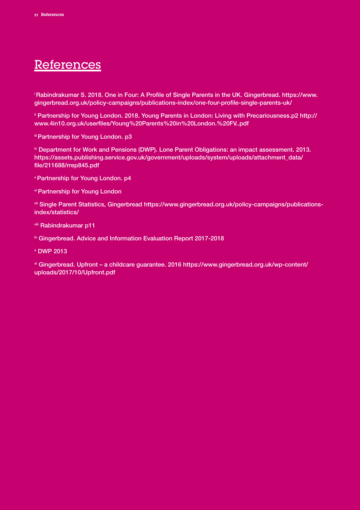## <span id="page-30-0"></span>References

[i Rabindrakumar S. 2018. One in Four: A Profile of Single Parents in the UK. Gingerbread. https://www.](https://www.gingerbread.org.uk/policy-campaigns/publications-index/one-four-profile-single-parents-uk/ ) [gingerbread.org.uk/policy-campaigns/publications-index/one-four-profile-single-parents-uk/](https://www.gingerbread.org.uk/policy-campaigns/publications-index/one-four-profile-single-parents-uk/ ) 

<sup>ii</sup> Partnership for Young London. 2018. Young Parents in London: Living with Precariousness.p2 http:// [www.4in10.org.uk/userfiles/Young%20Parents%20in%20London.%20FV..pdf](http://www.4in10.org.uk/userfiles/Young%20Parents%20in%20London.%20FV..pdf ) 

iii Partnership for Young London. p3

[iv Department for Work and Pensions \(DWP\). Lone Parent Obligations: an impact assessment. 2013.](https://assets.publishing.service.gov.uk/government/uploads/system/uploads/attachment_data/file/211688/rrep845.pdf ) [https://assets.publishing.service.gov.uk/government/uploads/system/uploads/attachment\\_data/](https://assets.publishing.service.gov.uk/government/uploads/system/uploads/attachment_data/file/211688/rrep845.pdf ) [file/211688/rrep845.pdf](https://assets.publishing.service.gov.uk/government/uploads/system/uploads/attachment_data/file/211688/rrep845.pdf ) 

v Partnership for Young London. p4

vi Partnership for Young London

[vii Single Parent Statistics, Gingerbread https://www.gingerbread.org.uk/policy-campaigns/publications](https://www.gingerbread.org.uk/policy-campaigns/publications-index/statistics/)[index/statistics/](https://www.gingerbread.org.uk/policy-campaigns/publications-index/statistics/)

viii Rabindrakumar p11

**ix Gingerbread. Advice and Information Evaluation Report 2017-2018** 

x DWP 2013

[xi Gingerbread. Upfront – a childcare guarantee. 2016 https://www.gingerbread.org.uk/wp-content/](https://www.gingerbread.org.uk/wp-content/uploads/2017/10/Upfront.pdf ) [uploads/2017/10/Upfront.pdf](https://www.gingerbread.org.uk/wp-content/uploads/2017/10/Upfront.pdf )